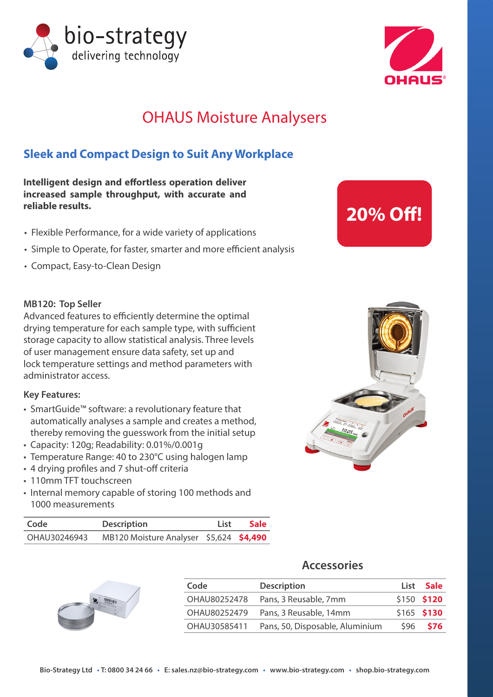



## OHAUS Moisture Analysers

### **Sleek and Compact Design to Suit Any Workplace**

**Intelligent design and effortless operation deliver increased sample throughput, with accurate and reliable results.** 

- Flexible Performance, for a wide variety of applications
- Simple to Operate, for faster, smarter and more efficient analysis
- Compact, Easy-to-Clean Design

#### **MB120: Top Seller**

Advanced features to efficiently determine the optimal drying temperature for each sample type, with sufficient storage capacity to allow statistical analysis. Three levels of user management ensure data safety, set up and lock temperature settings and method parameters with administrator access.

#### **Key Features:**

- SmartGuide™ software: a revolutionary feature that automatically analyses a sample and creates a method, thereby removing the guesswork from the initial setup
- Capacity: 120g; Readability: 0.01%/0.001g
- Temperature Range: 40 to 230°C using halogen lamp
- 4 drying profiles and 7 shut-off criteria
- 110mm TFT touchscreen
- Internal memory capable of storing 100 methods and 1000 measurements

| Code         | <b>Description</b>                      | List | <b>Sale</b> |
|--------------|-----------------------------------------|------|-------------|
| OHAU30246943 | MB120 Moisture Analyser \$5,624 \$4,490 |      |             |



#### **Accessories**

| Code         | <b>Description</b>              |      | List Sale    |
|--------------|---------------------------------|------|--------------|
| OHAU80252478 | Pans, 3 Reusable, 7mm           |      | $$150$ \$120 |
| OHAU80252479 | Pans, 3 Reusable, 14mm          |      | $$165$ \$130 |
| OHAU30585411 | Pans, 50, Disposable, Aluminium | \$96 | <b>S76</b>   |

# **20% Off!**